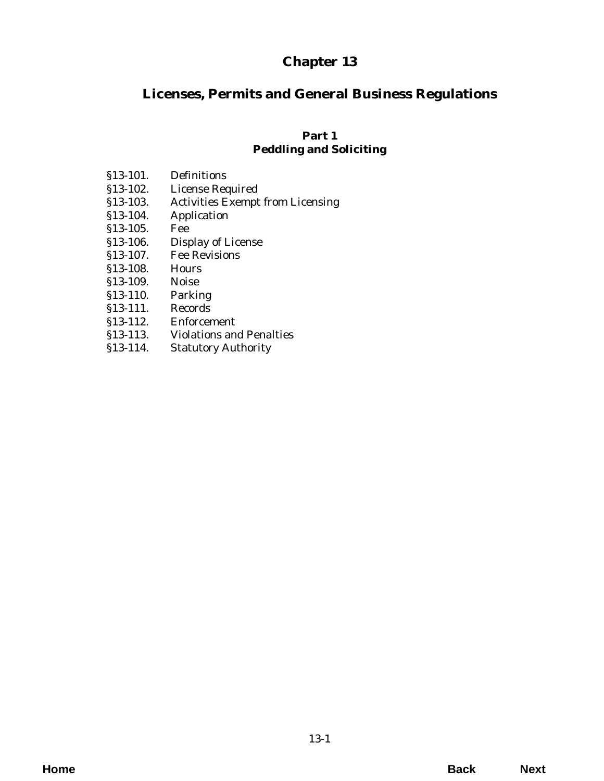# **Chapter 13**

# **Licenses, Permits and General Business Regulations**

## **Part 1 Peddling and Soliciting**

| §13-101. | Definitions |
|----------|-------------|
|          |             |

- [§13-102. License Required](#page-2-0)
- [§13-103. Activities Exempt from Licensing](#page-3-0)
- §13-104. Application
- §13-105. Fee
- [§13-106. Display of License](#page-4-0)
- §13-107. Fee Revisions
- §13-108. Hours
- §13-109. Noise
- §13-110. Parking
- §13-111. Records
- §13-112. Enforcement
- [§13-113. Violations and Penalties](#page-5-0)
- §13-114. Statutory Authority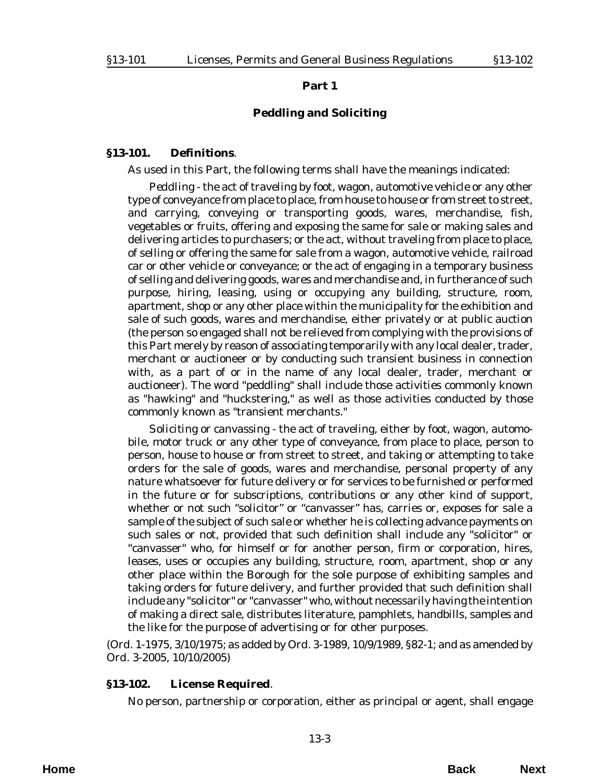#### **Part 1**

#### **Peddling and Soliciting**

#### <span id="page-2-0"></span>**§13-101. Definitions**.

As used in this Part, the following terms shall have the meanings indicated:

*Peddling* - the act of traveling by foot, wagon, automotive vehicle or any other type of conveyance from place to place, from house to house or from street to street, and carrying, conveying or transporting goods, wares, merchandise, fish, vegetables or fruits, offering and exposing the same for sale or making sales and delivering articles to purchasers; or the act, without traveling from place to place, of selling or offering the same for sale from a wagon, automotive vehicle, railroad car or other vehicle or conveyance; or the act of engaging in a temporary business of selling and delivering goods, wares and merchandise and, in furtherance of such purpose, hiring, leasing, using or occupying any building, structure, room, apartment, shop or any other place within the municipality for the exhibition and sale of such goods, wares and merchandise, either privately or at public auction (the person so engaged shall not be relieved from complying with the provisions of this Part merely by reason of associating temporarily with any local dealer, trader, merchant or auctioneer or by conducting such transient business in connection with, as a part of or in the name of any local dealer, trader, merchant or auctioneer). The word "peddling" shall include those activities commonly known as "hawking" and "huckstering," as well as those activities conducted by those commonly known as "transient merchants."

*Soliciting or canvassing* - the act of traveling, either by foot, wagon, automobile, motor truck or any other type of conveyance, from place to place, person to person, house to house or from street to street, and taking or attempting to take orders for the sale of goods, wares and merchandise, personal property of any nature whatsoever for future delivery or for services to be furnished or performed in the future or for subscriptions, contributions or any other kind of support, whether or not such "solicitor" or "canvasser" has, carries or, exposes for sale a sample of the subject of such sale or whether he is collecting advance payments on such sales or not, provided that such definition shall include any "solicitor" or "canvasser" who, for himself or for another person, firm or corporation, hires, leases, uses or occupies any building, structure, room, apartment, shop or any other place within the Borough for the sole purpose of exhibiting samples and taking orders for future delivery, and further provided that such definition shall include any "solicitor" or "canvasser" who, without necessarily having the intention of making a direct sale, distributes literature, pamphlets, handbills, samples and the like for the purpose of advertising or for other purposes.

(*Ord. 1-1975*, 3/10/1975; as added by *Ord. 3-1989*, 10/9/1989, §82-1; and as amended by *Ord. 3-2005*, 10/10/2005)

#### **§13-102. License Required**.

No person, partnership or corporation, either as principal or agent, shall engage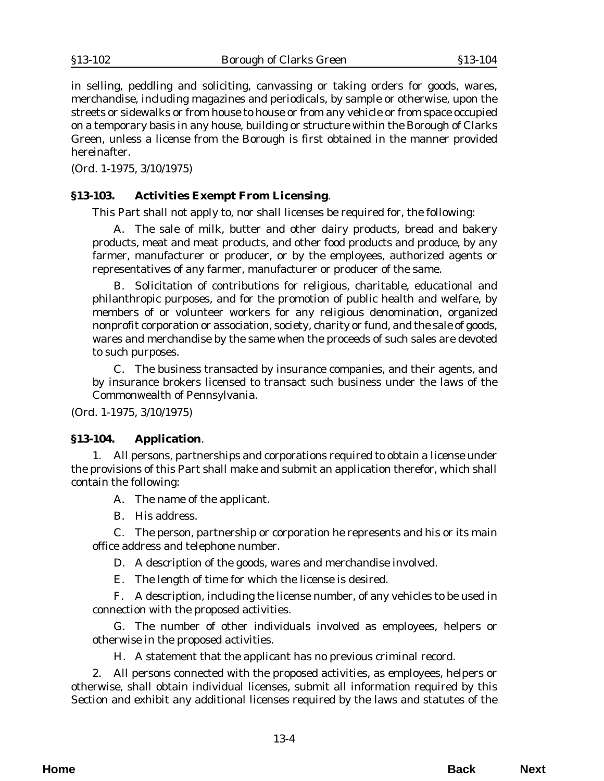<span id="page-3-0"></span>in selling, peddling and soliciting, canvassing or taking orders for goods, wares, merchandise, including magazines and periodicals, by sample or otherwise, upon the streets or sidewalks or from house to house or from any vehicle or from space occupied on a temporary basis in any house, building or structure within the Borough of Clarks Green, unless a license from the Borough is first obtained in the manner provided hereinafter.

(*Ord. 1-1975*, 3/10/1975)

### **§13-103. Activities Exempt From Licensing**.

This Part shall not apply to, nor shall licenses be required for, the following:

A. The sale of milk, butter and other dairy products, bread and bakery products, meat and meat products, and other food products and produce, by any farmer, manufacturer or producer, or by the employees, authorized agents or representatives of any farmer, manufacturer or producer of the same.

B. Solicitation of contributions for religious, charitable, educational and philanthropic purposes, and for the promotion of public health and welfare, by members of or volunteer workers for any religious denomination, organized nonprofit corporation or association, society, charity or fund, and the sale of goods, wares and merchandise by the same when the proceeds of such sales are devoted to such purposes.

C. The business transacted by insurance companies, and their agents, and by insurance brokers licensed to transact such business under the laws of the Commonwealth of Pennsylvania.

(*Ord. 1-1975*, 3/10/1975)

#### **§13-104. Application**.

1. All persons, partnerships and corporations required to obtain a license under the provisions of this Part shall make and submit an application therefor, which shall contain the following:

A. The name of the applicant.

B. His address.

C. The person, partnership or corporation he represents and his or its main office address and telephone number.

D. A description of the goods, wares and merchandise involved.

E. The length of time for which the license is desired.

F. A description, including the license number, of any vehicles to be used in connection with the proposed activities.

G. The number of other individuals involved as employees, helpers or otherwise in the proposed activities.

H. A statement that the applicant has no previous criminal record.

2. All persons connected with the proposed activities, as employees, helpers or otherwise, shall obtain individual licenses, submit all information required by this Section and exhibit any additional licenses required by the laws and statutes of the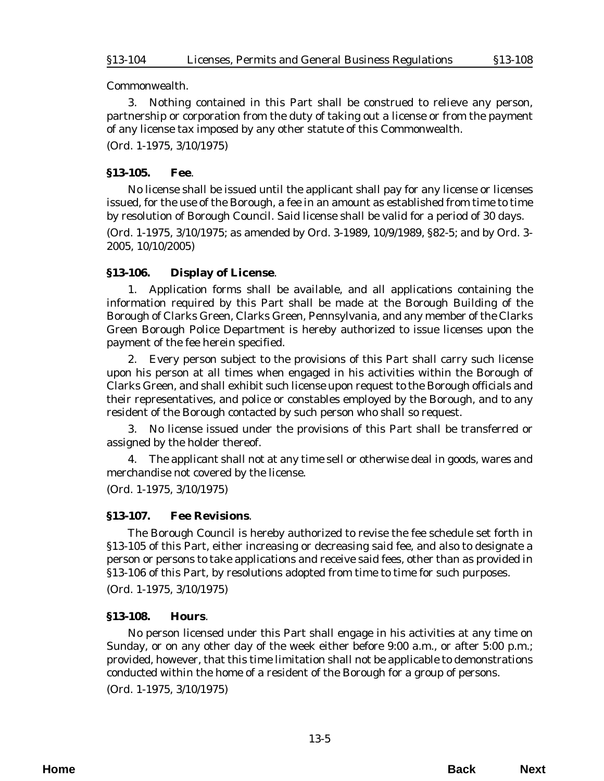<span id="page-4-0"></span>Commonwealth.

3. Nothing contained in this Part shall be construed to relieve any person, partnership or corporation from the duty of taking out a license or from the payment of any license tax imposed by any other statute of this Commonwealth.

(*Ord. 1-1975*, 3/10/1975)

#### **§13-105. Fee**.

No license shall be issued until the applicant shall pay for any license or licenses issued, for the use of the Borough, a fee in an amount as established from time to time by resolution of Borough Council. Said license shall be valid for a period of 30 days.

(*Ord. 1-1975*, 3/10/1975; as amended by *Ord. 3-1989*, 10/9/1989, §82-5; and by *Ord. 3- 2005*, 10/10/2005)

#### **§13-106. Display of License**.

1. Application forms shall be available, and all applications containing the information required by this Part shall be made at the Borough Building of the Borough of Clarks Green, Clarks Green, Pennsylvania, and any member of the Clarks Green Borough Police Department is hereby authorized to issue licenses upon the payment of the fee herein specified.

2. Every person subject to the provisions of this Part shall carry such license upon his person at all times when engaged in his activities within the Borough of Clarks Green, and shall exhibit such license upon request to the Borough officials and their representatives, and police or constables employed by the Borough, and to any resident of the Borough contacted by such person who shall so request.

3. No license issued under the provisions of this Part shall be transferred or assigned by the holder thereof.

4. The applicant shall not at any time sell or otherwise deal in goods, wares and merchandise not covered by the license.

(*Ord. 1-1975*, 3/10/1975)

#### **§13-107. Fee Revisions**.

The Borough Council is hereby authorized to revise the fee schedule set forth in §13-105 of this Part, either increasing or decreasing said fee, and also to designate a person or persons to take applications and receive said fees, other than as provided in §13-106 of this Part, by resolutions adopted from time to time for such purposes. (*Ord. 1-1975*, 3/10/1975)

#### **§13-108. Hours**.

No person licensed under this Part shall engage in his activities at any time on Sunday, or on any other day of the week either before 9:00 a.m., or after 5:00 p.m.; provided, however, that this time limitation shall not be applicable to demonstrations conducted within the home of a resident of the Borough for a group of persons.

(*Ord. 1-1975*, 3/10/1975)